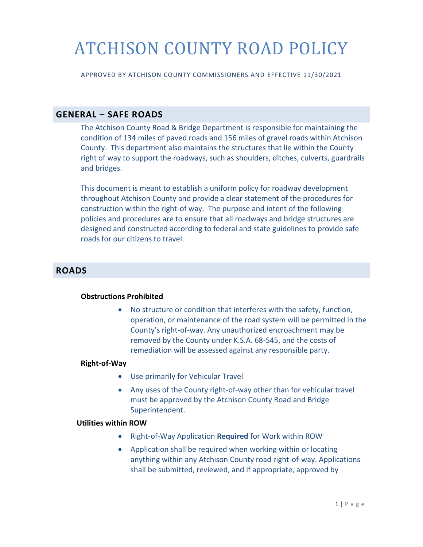# ATCHISON COUNTY ROAD POLICY

APPROVED BY ATCHISON COUNTY COMMISSIONERS AND EFFECTIVE 11/30/2021

#### **GENERAL – SAFE ROADS**

The Atchison County Road & Bridge Department is responsible for maintaining the condition of 134 miles of paved roads and 156 miles of gravel roads within Atchison County. This department also maintains the structures that lie within the County right of way to support the roadways, such as shoulders, ditches, culverts, guardrails and bridges.

This document is meant to establish a uniform policy for roadway development throughout Atchison County and provide a clear statement of the procedures for construction within the right-of way. The purpose and intent of the following policies and procedures are to ensure that all roadways and bridge structures are designed and constructed according to federal and state guidelines to provide safe roads for our citizens to travel.

#### **ROADS**

#### **Obstructions Prohibited**

• No structure or condition that interferes with the safety, function, operation, or maintenance of the road system will be permitted in the County's right-of-way. Any unauthorized encroachment may be removed by the County under K.S.A. 68-545, and the costs of remediation will be assessed against any responsible party.

#### **Right-of-Way**

- Use primarily for Vehicular Travel
- Any uses of the County right-of-way other than for vehicular travel must be approved by the Atchison County Road and Bridge Superintendent.

#### **Utilities within ROW**

- Right-of-Way Application **Required** for Work within ROW
- Application shall be required when working within or locating anything within any Atchison County road right-of-way. Applications shall be submitted, reviewed, and if appropriate, approved by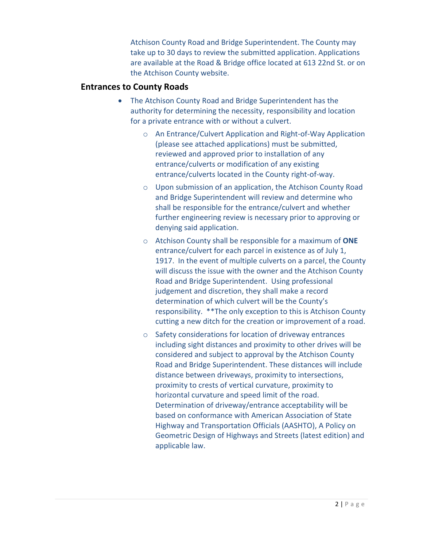Atchison County Road and Bridge Superintendent. The County may take up to 30 days to review the submitted application. Applications are available at the Road & Bridge office located at 613 22nd St. or on the Atchison County website.

#### **Entrances to County Roads**

- The Atchison County Road and Bridge Superintendent has the authority for determining the necessity, responsibility and location for a private entrance with or without a culvert.
	- o An Entrance/Culvert Application and Right-of-Way Application (please see attached applications) must be submitted, reviewed and approved prior to installation of any entrance/culverts or modification of any existing entrance/culverts located in the County right-of-way.
	- o Upon submission of an application, the Atchison County Road and Bridge Superintendent will review and determine who shall be responsible for the entrance/culvert and whether further engineering review is necessary prior to approving or denying said application.
	- o Atchison County shall be responsible for a maximum of **ONE** entrance/culvert for each parcel in existence as of July 1, 1917. In the event of multiple culverts on a parcel, the County will discuss the issue with the owner and the Atchison County Road and Bridge Superintendent. Using professional judgement and discretion, they shall make a record determination of which culvert will be the County's responsibility. \*\*The only exception to this is Atchison County cutting a new ditch for the creation or improvement of a road.
	- o Safety considerations for location of driveway entrances including sight distances and proximity to other drives will be considered and subject to approval by the Atchison County Road and Bridge Superintendent. These distances will include distance between driveways, proximity to intersections, proximity to crests of vertical curvature, proximity to horizontal curvature and speed limit of the road. Determination of driveway/entrance acceptability will be based on conformance with American Association of State Highway and Transportation Officials (AASHTO), A Policy on Geometric Design of Highways and Streets (latest edition) and applicable law.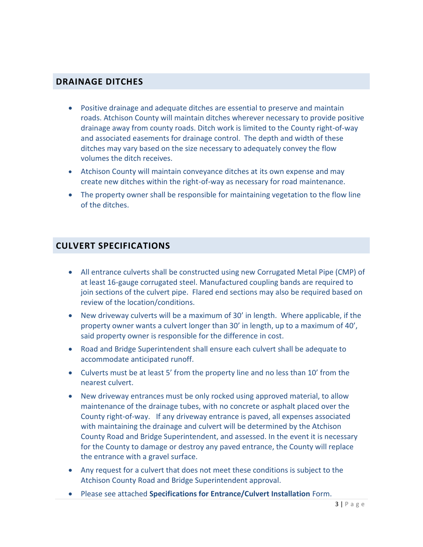#### **DRAINAGE DITCHES**

- Positive drainage and adequate ditches are essential to preserve and maintain roads. Atchison County will maintain ditches wherever necessary to provide positive drainage away from county roads. Ditch work is limited to the County right-of-way and associated easements for drainage control. The depth and width of these ditches may vary based on the size necessary to adequately convey the flow volumes the ditch receives.
- Atchison County will maintain conveyance ditches at its own expense and may create new ditches within the right-of-way as necessary for road maintenance.
- The property owner shall be responsible for maintaining vegetation to the flow line of the ditches.

#### **CULVERT SPECIFICATIONS**

- All entrance culverts shall be constructed using new Corrugated Metal Pipe (CMP) of at least 16-gauge corrugated steel. Manufactured coupling bands are required to join sections of the culvert pipe. Flared end sections may also be required based on review of the location/conditions.
- New driveway culverts will be a maximum of 30' in length. Where applicable, if the property owner wants a culvert longer than 30' in length, up to a maximum of 40', said property owner is responsible for the difference in cost.
- Road and Bridge Superintendent shall ensure each culvert shall be adequate to accommodate anticipated runoff.
- Culverts must be at least 5' from the property line and no less than 10' from the nearest culvert.
- New driveway entrances must be only rocked using approved material, to allow maintenance of the drainage tubes, with no concrete or asphalt placed over the County right-of-way. If any driveway entrance is paved, all expenses associated with maintaining the drainage and culvert will be determined by the Atchison County Road and Bridge Superintendent, and assessed. In the event it is necessary for the County to damage or destroy any paved entrance, the County will replace the entrance with a gravel surface.
- Any request for a culvert that does not meet these conditions is subject to the Atchison County Road and Bridge Superintendent approval.
- Please see attached **Specifications for Entrance/Culvert Installation** Form.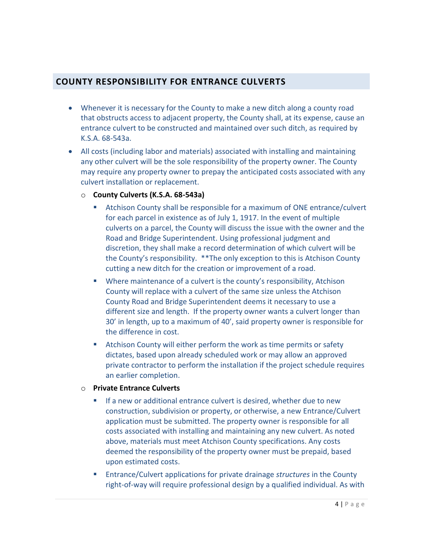### **COUNTY RESPONSIBILITY FOR ENTRANCE CULVERTS**

- Whenever it is necessary for the County to make a new ditch along a county road that obstructs access to adjacent property, the County shall, at its expense, cause an entrance culvert to be constructed and maintained over such ditch, as required by K.S.A. 68-543a.
- All costs (including labor and materials) associated with installing and maintaining any other culvert will be the sole responsibility of the property owner. The County may require any property owner to prepay the anticipated costs associated with any culvert installation or replacement.
	- o **County Culverts (K.S.A. 68-543a)**
		- Atchison County shall be responsible for a maximum of ONE entrance/culvert for each parcel in existence as of July 1, 1917. In the event of multiple culverts on a parcel, the County will discuss the issue with the owner and the Road and Bridge Superintendent. Using professional judgment and discretion, they shall make a record determination of which culvert will be the County's responsibility. \*\*The only exception to this is Atchison County cutting a new ditch for the creation or improvement of a road.
		- Where maintenance of a culvert is the county's responsibility, Atchison County will replace with a culvert of the same size unless the Atchison County Road and Bridge Superintendent deems it necessary to use a different size and length. If the property owner wants a culvert longer than 30' in length, up to a maximum of 40', said property owner is responsible for the difference in cost.
		- Atchison County will either perform the work as time permits or safety dictates, based upon already scheduled work or may allow an approved private contractor to perform the installation if the project schedule requires an earlier completion.
	- o **Private Entrance Culverts**
		- If a new or additional entrance culvert is desired, whether due to new construction, subdivision or property, or otherwise, a new Entrance/Culvert application must be submitted. The property owner is responsible for all costs associated with installing and maintaining any new culvert. As noted above, materials must meet Atchison County specifications. Any costs deemed the responsibility of the property owner must be prepaid, based upon estimated costs.
		- Entrance/Culvert applications for private drainage *structures* in the County right-of-way will require professional design by a qualified individual. As with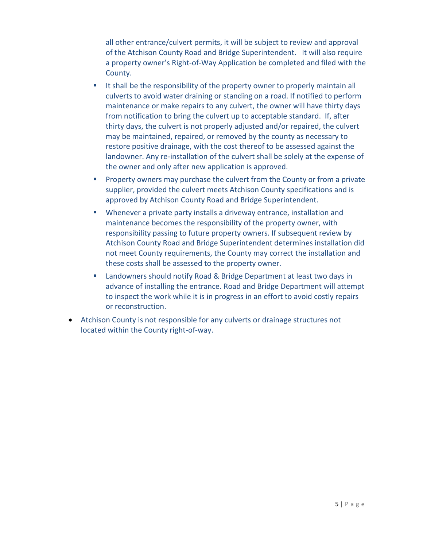all other entrance/culvert permits, it will be subject to review and approval of the Atchison County Road and Bridge Superintendent. It will also require a property owner's Right-of-Way Application be completed and filed with the County.

- It shall be the responsibility of the property owner to properly maintain all culverts to avoid water draining or standing on a road. If notified to perform maintenance or make repairs to any culvert, the owner will have thirty days from notification to bring the culvert up to acceptable standard. If, after thirty days, the culvert is not properly adjusted and/or repaired, the culvert may be maintained, repaired, or removed by the county as necessary to restore positive drainage, with the cost thereof to be assessed against the landowner. Any re-installation of the culvert shall be solely at the expense of the owner and only after new application is approved.
- **Property owners may purchase the culvert from the County or from a private** supplier, provided the culvert meets Atchison County specifications and is approved by Atchison County Road and Bridge Superintendent.
- Whenever a private party installs a driveway entrance, installation and maintenance becomes the responsibility of the property owner, with responsibility passing to future property owners. If subsequent review by Atchison County Road and Bridge Superintendent determines installation did not meet County requirements, the County may correct the installation and these costs shall be assessed to the property owner.
- Landowners should notify Road & Bridge Department at least two days in advance of installing the entrance. Road and Bridge Department will attempt to inspect the work while it is in progress in an effort to avoid costly repairs or reconstruction.
- Atchison County is not responsible for any culverts or drainage structures not located within the County right-of-way.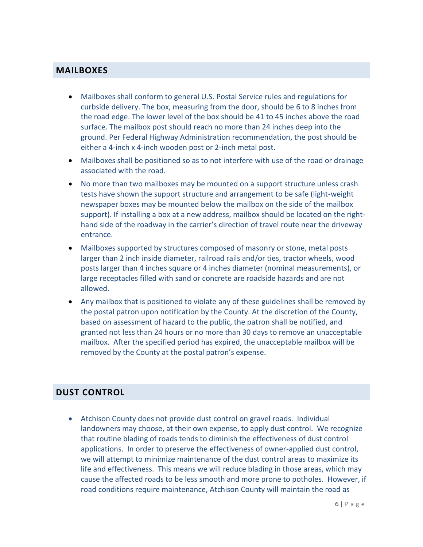#### **MAILBOXES**

- Mailboxes shall conform to general U.S. Postal Service rules and regulations for curbside delivery. The box, measuring from the door, should be 6 to 8 inches from the road edge. The lower level of the box should be 41 to 45 inches above the road surface. The mailbox post should reach no more than 24 inches deep into the ground. Per Federal Highway Administration recommendation, the post should be either a 4-inch x 4-inch wooden post or 2-inch metal post.
- Mailboxes shall be positioned so as to not interfere with use of the road or drainage associated with the road.
- No more than two mailboxes may be mounted on a support structure unless crash tests have shown the support structure and arrangement to be safe (light-weight newspaper boxes may be mounted below the mailbox on the side of the mailbox support). If installing a box at a new address, mailbox should be located on the righthand side of the roadway in the carrier's direction of travel route near the driveway entrance.
- Mailboxes supported by structures composed of masonry or stone, metal posts larger than 2 inch inside diameter, railroad rails and/or ties, tractor wheels, wood posts larger than 4 inches square or 4 inches diameter (nominal measurements), or large receptacles filled with sand or concrete are roadside hazards and are not allowed.
- Any mailbox that is positioned to violate any of these guidelines shall be removed by the postal patron upon notification by the County. At the discretion of the County, based on assessment of hazard to the public, the patron shall be notified, and granted not less than 24 hours or no more than 30 days to remove an unacceptable mailbox. After the specified period has expired, the unacceptable mailbox will be removed by the County at the postal patron's expense.

## **DUST CONTROL**

• Atchison County does not provide dust control on gravel roads. Individual landowners may choose, at their own expense, to apply dust control. We recognize that routine blading of roads tends to diminish the effectiveness of dust control applications. In order to preserve the effectiveness of owner-applied dust control, we will attempt to minimize maintenance of the dust control areas to maximize its life and effectiveness. This means we will reduce blading in those areas, which may cause the affected roads to be less smooth and more prone to potholes. However, if road conditions require maintenance, Atchison County will maintain the road as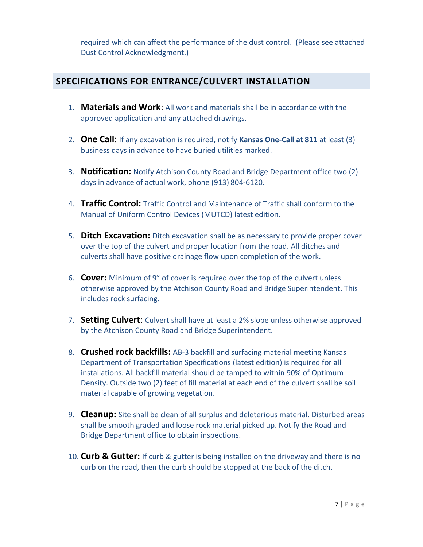required which can affect the performance of the dust control. (Please see attached Dust Control Acknowledgment.)

## **SPECIFICATIONS FOR ENTRANCE/CULVERT INSTALLATION**

- 1. **Materials and Work**: All work and materials shall be in accordance with the approved application and any attached drawings.
- 2. **One Call:** If any excavation is required, notify **Kansas One-Call at 811** at least (3) business days in advance to have buried utilities marked.
- 3. **Notification:** Notify Atchison County Road and Bridge Department office two (2) days in advance of actual work, phone (913) 804-6120.
- 4. **Traffic Control:** Traffic Control and Maintenance of Traffic shall conform to the Manual of Uniform Control Devices (MUTCD) latest edition.
- 5. **Ditch Excavation:** Ditch excavation shall be as necessary to provide proper cover over the top of the culvert and proper location from the road. All ditches and culverts shall have positive drainage flow upon completion of the work.
- 6. **Cover:** Minimum of 9" of cover is required over the top of the culvert unless otherwise approved by the Atchison County Road and Bridge Superintendent. This includes rock surfacing.
- 7. **Setting Culvert**: Culvert shall have at least a 2% slope unless otherwise approved by the Atchison County Road and Bridge Superintendent.
- 8. **Crushed rock backfills:** AB-3 backfill and surfacing material meeting Kansas Department of Transportation Specifications (latest edition) is required for all installations. All backfill material should be tamped to within 90% of Optimum Density. Outside two (2) feet of fill material at each end of the culvert shall be soil material capable of growing vegetation.
- 9. **Cleanup:** Site shall be clean of all surplus and deleterious material. Disturbed areas shall be smooth graded and loose rock material picked up. Notify the Road and Bridge Department office to obtain inspections.
- 10. **Curb & Gutter:** If curb & gutter is being installed on the driveway and there is no curb on the road, then the curb should be stopped at the back of the ditch.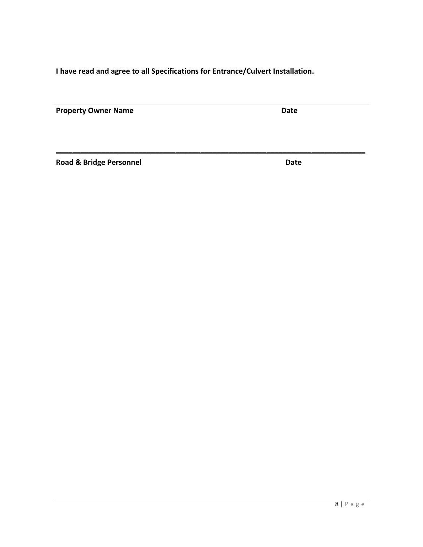**I have read and agree to all Specifications for Entrance/Culvert Installation.**

**\_\_\_\_\_\_\_\_\_\_\_\_\_\_\_\_\_\_\_\_\_\_\_\_\_\_\_\_\_\_\_\_\_\_\_\_\_\_\_\_\_\_\_\_\_\_\_\_\_\_\_\_\_\_\_\_\_\_\_\_\_\_\_\_\_\_\_\_\_\_\_\_\_\_\_**

**Property Owner Name Community Community Community Community Community Community Community Community Community** 

**Road & Bridge Personnel Community Community Community Community Community Community Community Community Community**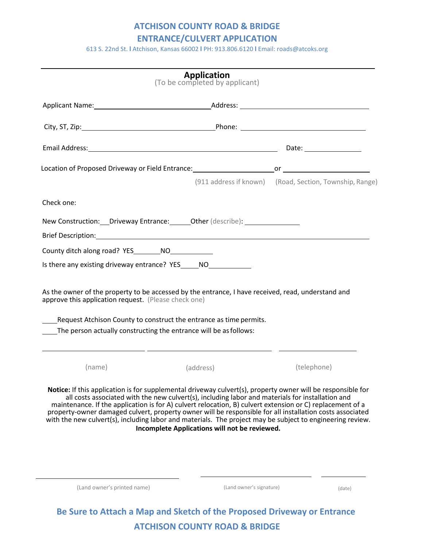#### **ATCHISON COUNTY ROAD & BRIDGE**

**ENTRANCE/CULVERT APPLICATION**

613 S. 22nd St. **l** Atchison, Kansas 66002 **l** PH: 913.806.6120 **l** Email: [roads@atcoks.org](mailto:roads@atcoks.org)

|                                                                                                                                                                                                                                                                                                                                                                                                                                                                                                                                                       | <b>Application</b><br>(To be completed by applicant) |                                                         |
|-------------------------------------------------------------------------------------------------------------------------------------------------------------------------------------------------------------------------------------------------------------------------------------------------------------------------------------------------------------------------------------------------------------------------------------------------------------------------------------------------------------------------------------------------------|------------------------------------------------------|---------------------------------------------------------|
|                                                                                                                                                                                                                                                                                                                                                                                                                                                                                                                                                       |                                                      |                                                         |
|                                                                                                                                                                                                                                                                                                                                                                                                                                                                                                                                                       |                                                      |                                                         |
|                                                                                                                                                                                                                                                                                                                                                                                                                                                                                                                                                       |                                                      |                                                         |
|                                                                                                                                                                                                                                                                                                                                                                                                                                                                                                                                                       |                                                      |                                                         |
|                                                                                                                                                                                                                                                                                                                                                                                                                                                                                                                                                       |                                                      | (911 address if known) (Road, Section, Township, Range) |
| Check one:                                                                                                                                                                                                                                                                                                                                                                                                                                                                                                                                            |                                                      |                                                         |
| New Construction: __ Driveway Entrance: ______ Other (describe): _______________                                                                                                                                                                                                                                                                                                                                                                                                                                                                      |                                                      |                                                         |
| County ditch along road? YES__________NO_______________                                                                                                                                                                                                                                                                                                                                                                                                                                                                                               |                                                      |                                                         |
| Is there any existing driveway entrance? YES _____ NO                                                                                                                                                                                                                                                                                                                                                                                                                                                                                                 |                                                      |                                                         |
| _____Request Atchison County to construct the entrance as time permits.<br>The person actually constructing the entrance will be as follows:                                                                                                                                                                                                                                                                                                                                                                                                          |                                                      |                                                         |
| (name)                                                                                                                                                                                                                                                                                                                                                                                                                                                                                                                                                | (address)                                            | (telephone)                                             |
| Notice: If this application is for supplemental driveway culvert(s), property owner will be responsible for<br>all costs associated with the new culvert(s), including labor and materials for installation and<br>maintenance. If the application is for A) culvert relocation, B) culvert extension or C) replacement of a<br>property-owner damaged culvert, property owner will be responsible for all installation costs associated<br>with the new culvert(s), including labor and materials. The project may be subject to engineering review. | Incomplete Applications will not be reviewed.        |                                                         |
| (Land owner's printed name)                                                                                                                                                                                                                                                                                                                                                                                                                                                                                                                           | (Land owner's signature)                             | (date)                                                  |
|                                                                                                                                                                                                                                                                                                                                                                                                                                                                                                                                                       |                                                      |                                                         |

**ATCHISON COUNTY ROAD & BRIDGE**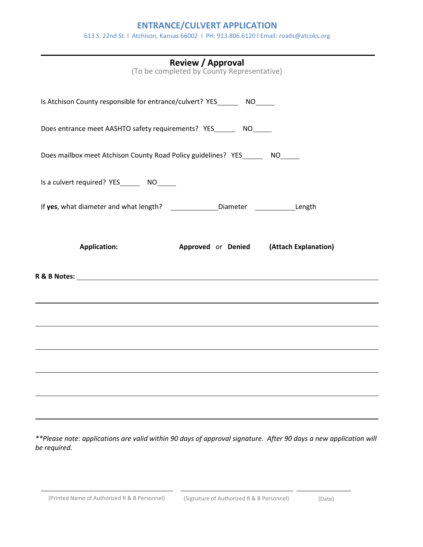### **ENTRANCE/CULVERT APPLICATION**

613 S. 22nd St. l Atchison, Kansas 66002 l PH: 913.806.6120 l Email: [roads@atcoks.org](mailto:roads@atcoks.org)

| <b>Review / Approval</b><br>(To be completed by County Representative)                  |
|-----------------------------------------------------------------------------------------|
| Is Atchison County responsible for entrance/culvert? YES_________ NO______              |
| Does entrance meet AASHTO safety requirements? YES_______ NO_____                       |
| Does mailbox meet Atchison County Road Policy guidelines? YES_______ NO______           |
| Is a culvert required? YES _______ NO______                                             |
| If yes, what diameter and what length? ________________Diameter _________________Length |
| <b>Application:</b><br>Approved or Denied (Attach Explanation)                          |
|                                                                                         |
|                                                                                         |
|                                                                                         |
|                                                                                         |
|                                                                                         |
|                                                                                         |

*\*\*Please note: applications are valid within 90 days of approval signature. After 90 days a new application will be required.*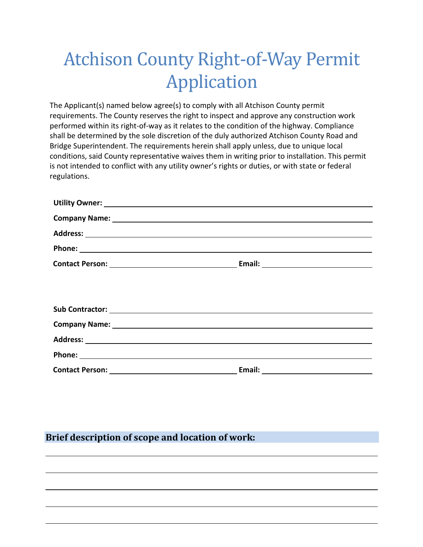# Atchison County Right-of-Way Permit Application

The Applicant(s) named below agree(s) to comply with all Atchison County permit requirements. The County reserves the right to inspect and approve any construction work performed within its right-of-way as it relates to the condition of the highway. Compliance shall be determined by the sole discretion of the duly authorized Atchison County Road and Bridge Superintendent. The requirements herein shall apply unless, due to unique local conditions, said County representative waives them in writing prior to installation. This permit is not intended to conflict with any utility owner's rights or duties, or with state or federal regulations.

| Phone: National Contract Contract Contract Contract Contract Contract Contract Contract Contract Contract Contract Contract Contract Contract Contract Contract Contract Contract Contract Contract Contract Contract Contract |  |
|--------------------------------------------------------------------------------------------------------------------------------------------------------------------------------------------------------------------------------|--|
|                                                                                                                                                                                                                                |  |
|                                                                                                                                                                                                                                |  |
|                                                                                                                                                                                                                                |  |
|                                                                                                                                                                                                                                |  |
|                                                                                                                                                                                                                                |  |
|                                                                                                                                                                                                                                |  |
|                                                                                                                                                                                                                                |  |
|                                                                                                                                                                                                                                |  |

## **Brief description of scope and location of work:**

l

l

l

 $\overline{a}$ 

l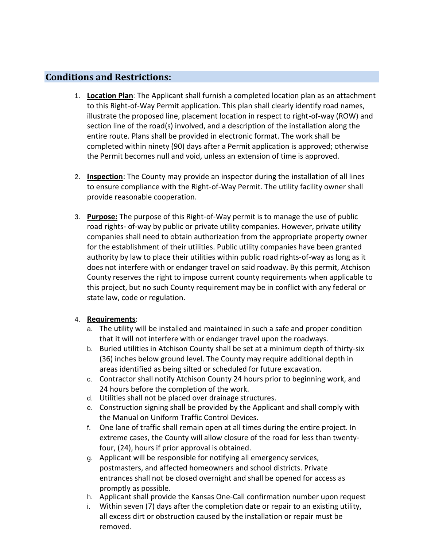# **Conditions and Restrictions:**

- 1. **Location Plan**: The Applicant shall furnish a completed location plan as an attachment to this Right-of-Way Permit application. This plan shall clearly identify road names, illustrate the proposed line, placement location in respect to right-of-way (ROW) and section line of the road(s) involved, and a description of the installation along the entire route. Plans shall be provided in electronic format. The work shall be completed within ninety (90) days after a Permit application is approved; otherwise the Permit becomes null and void, unless an extension of time is approved.
- 2. **Inspection**: The County may provide an inspector during the installation of all lines to ensure compliance with the Right-of-Way Permit. The utility facility owner shall provide reasonable cooperation.
- 3. **Purpose:** The purpose of this Right-of-Way permit is to manage the use of public road rights- of-way by public or private utility companies. However, private utility companies shall need to obtain authorization from the appropriate property owner for the establishment of their utilities. Public utility companies have been granted authority by law to place their utilities within public road rights-of-way as long as it does not interfere with or endanger travel on said roadway. By this permit, Atchison County reserves the right to impose current county requirements when applicable to this project, but no such County requirement may be in conflict with any federal or state law, code or regulation.

#### 4. **Requirements**:

- a. The utility will be installed and maintained in such a safe and proper condition that it will not interfere with or endanger travel upon the roadways.
- b. Buried utilities in Atchison County shall be set at a minimum depth of thirty-six (36) inches below ground level. The County may require additional depth in areas identified as being silted or scheduled for future excavation.
- c. Contractor shall notify Atchison County 24 hours prior to beginning work, and 24 hours before the completion of the work.
- d. Utilities shall not be placed over drainage structures.
- e. Construction signing shall be provided by the Applicant and shall comply with the Manual on Uniform Traffic Control Devices.
- f. One lane of traffic shall remain open at all times during the entire project. In extreme cases, the County will allow closure of the road for less than twentyfour, (24), hours if prior approval is obtained.
- g. Applicant will be responsible for notifying all emergency services, postmasters, and affected homeowners and school districts. Private entrances shall not be closed overnight and shall be opened for access as promptly as possible.
- h. Applicant shall provide the Kansas One-Call confirmation number upon request
- i. Within seven (7) days after the completion date or repair to an existing utility, all excess dirt or obstruction caused by the installation or repair must be removed.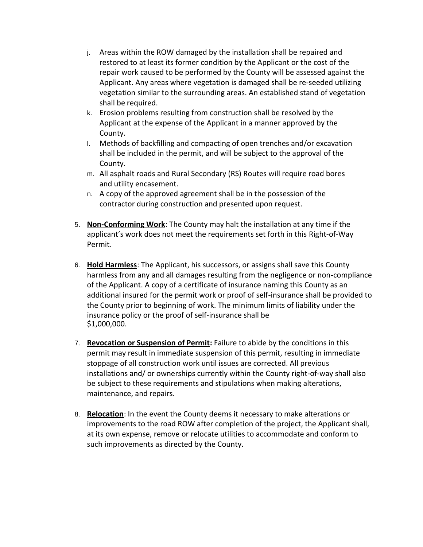- j. Areas within the ROW damaged by the installation shall be repaired and restored to at least its former condition by the Applicant or the cost of the repair work caused to be performed by the County will be assessed against the Applicant. Any areas where vegetation is damaged shall be re-seeded utilizing vegetation similar to the surrounding areas. An established stand of vegetation shall be required.
- k. Erosion problems resulting from construction shall be resolved by the Applicant at the expense of the Applicant in a manner approved by the County.
- l. Methods of backfilling and compacting of open trenches and/or excavation shall be included in the permit, and will be subject to the approval of the County.
- m. All asphalt roads and Rural Secondary (RS) Routes will require road bores and utility encasement.
- n. A copy of the approved agreement shall be in the possession of the contractor during construction and presented upon request.
- 5. **Non-Conforming Work**: The County may halt the installation at any time if the applicant's work does not meet the requirements set forth in this Right-of-Way Permit.
- 6. **Hold Harmless**: The Applicant, his successors, or assigns shall save this County harmless from any and all damages resulting from the negligence or non-compliance of the Applicant. A copy of a certificate of insurance naming this County as an additional insured for the permit work or proof of self-insurance shall be provided to the County prior to beginning of work. The minimum limits of liability under the insurance policy or the proof of self-insurance shall be \$1,000,000.
- 7. **Revocation or Suspension of Permit:** Failure to abide by the conditions in this permit may result in immediate suspension of this permit, resulting in immediate stoppage of all construction work until issues are corrected. All previous installations and/ or ownerships currently within the County right-of-way shall also be subject to these requirements and stipulations when making alterations, maintenance, and repairs.
- 8. **Relocation**: In the event the County deems it necessary to make alterations or improvements to the road ROW after completion of the project, the Applicant shall, at its own expense, remove or relocate utilities to accommodate and conform to such improvements as directed by the County.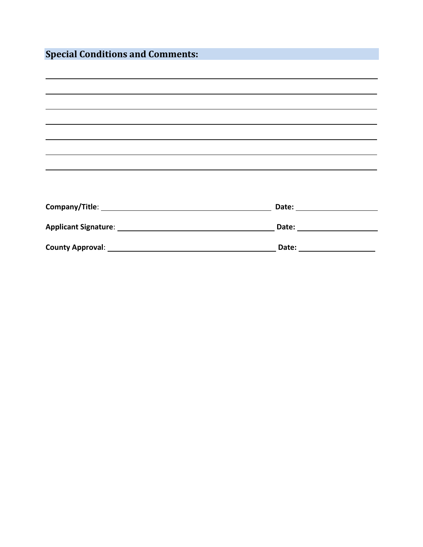| <b>Special Conditions and Comments:</b>                                                                                                                              |                                         |  |
|----------------------------------------------------------------------------------------------------------------------------------------------------------------------|-----------------------------------------|--|
|                                                                                                                                                                      |                                         |  |
| ,我们也不会有什么。""我们的人,我们也不会有什么?""我们的人,我们也不会有什么?""我们的人,我们也不会有什么?""我们的人,我们也不会有什么?""我们的人<br>,我们也不会有什么?""我们的人,我们也不会不会不会。""我们的人,我们也不会不会不会不会。""我们的人,我们也不会不会不会不会。""我们的人,我们也不会不会不 |                                         |  |
| ,我们也不会有什么?""我们的人,我们也不会有什么?""我们的人,我们也不会有什么?""我们的人,我们也不会有什么?""我们的人,我们也不会有什么?""我们的人                                                                                     |                                         |  |
|                                                                                                                                                                      |                                         |  |
| ,我们也不会有什么。""我们的人,我们也不会有什么?""我们的人,我们也不会有什么?""我们的人,我们也不会有什么?""我们的人,我们也不会有什么?""我们的人                                                                                     |                                         |  |
|                                                                                                                                                                      |                                         |  |
|                                                                                                                                                                      |                                         |  |
|                                                                                                                                                                      |                                         |  |
|                                                                                                                                                                      |                                         |  |
|                                                                                                                                                                      |                                         |  |
|                                                                                                                                                                      |                                         |  |
|                                                                                                                                                                      | Date: <u>__________________________</u> |  |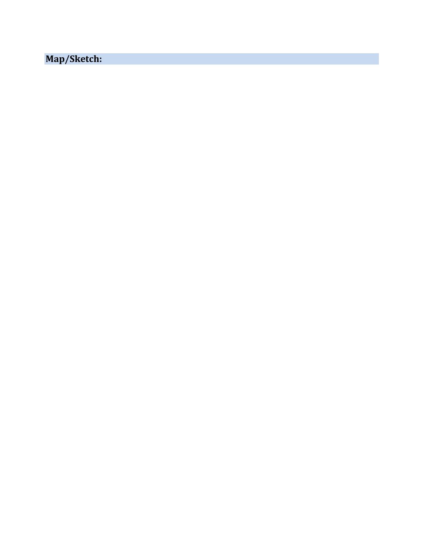**Map/Sketch:**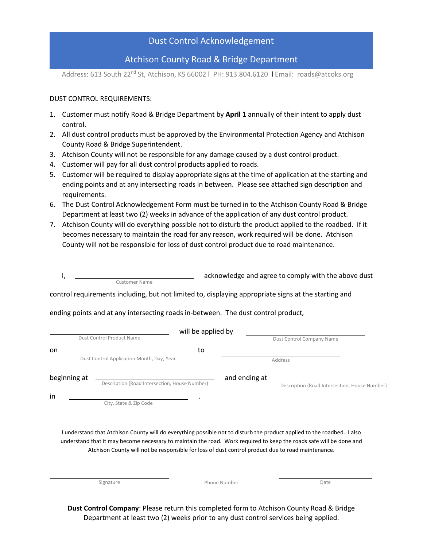#### Dust Control Acknowledgement

#### Atchison County Road & Bridge Department

Address: 613 South 22<sup>nd</sup> St, Atchison, KS 66002 | PH: 913.804.6120 | Email: roads@atcoks.org

#### DUST CONTROL REQUIREMENTS:

- 1. Customer must notify Road & Bridge Department by **April 1** annually of their intent to apply dust control.
- 2. All dust control products must be approved by the Environmental Protection Agency and Atchison County Road & Bridge Superintendent.
- 3. Atchison County will not be responsible for any damage caused by a dust control product.
- 4. Customer will pay for all dust control products applied to roads.
- 5. Customer will be required to display appropriate signs at the time of application at the starting and ending points and at any intersecting roads in between. Please see attached sign description and requirements.
- 6. The Dust Control Acknowledgement Form must be turned in to the Atchison County Road & Bridge Department at least two (2) weeks in advance of the application of any dust control product.
- 7. Atchison County will do everything possible not to disturb the product applied to the roadbed. If it becomes necessary to maintain the road for any reason, work required will be done. Atchison County will not be responsible for loss of dust control product due to road maintenance.

| control requirements including, but not limited to, displaying appropriate signs at the starting and<br>ending points and at any intersecting roads in-between. The dust control product,<br>Dust Control Company Name<br>Address                                                                                                                   |
|-----------------------------------------------------------------------------------------------------------------------------------------------------------------------------------------------------------------------------------------------------------------------------------------------------------------------------------------------------|
|                                                                                                                                                                                                                                                                                                                                                     |
|                                                                                                                                                                                                                                                                                                                                                     |
|                                                                                                                                                                                                                                                                                                                                                     |
|                                                                                                                                                                                                                                                                                                                                                     |
|                                                                                                                                                                                                                                                                                                                                                     |
|                                                                                                                                                                                                                                                                                                                                                     |
| and ending at                                                                                                                                                                                                                                                                                                                                       |
| Description (Road Intersection, House Number)                                                                                                                                                                                                                                                                                                       |
|                                                                                                                                                                                                                                                                                                                                                     |
|                                                                                                                                                                                                                                                                                                                                                     |
| I understand that Atchison County will do everything possible not to disturb the product applied to the roadbed. I also<br>understand that it may become necessary to maintain the road. Work required to keep the roads safe will be done and<br>Atchison County will not be responsible for loss of dust control product due to road maintenance. |
| Date                                                                                                                                                                                                                                                                                                                                                |
|                                                                                                                                                                                                                                                                                                                                                     |